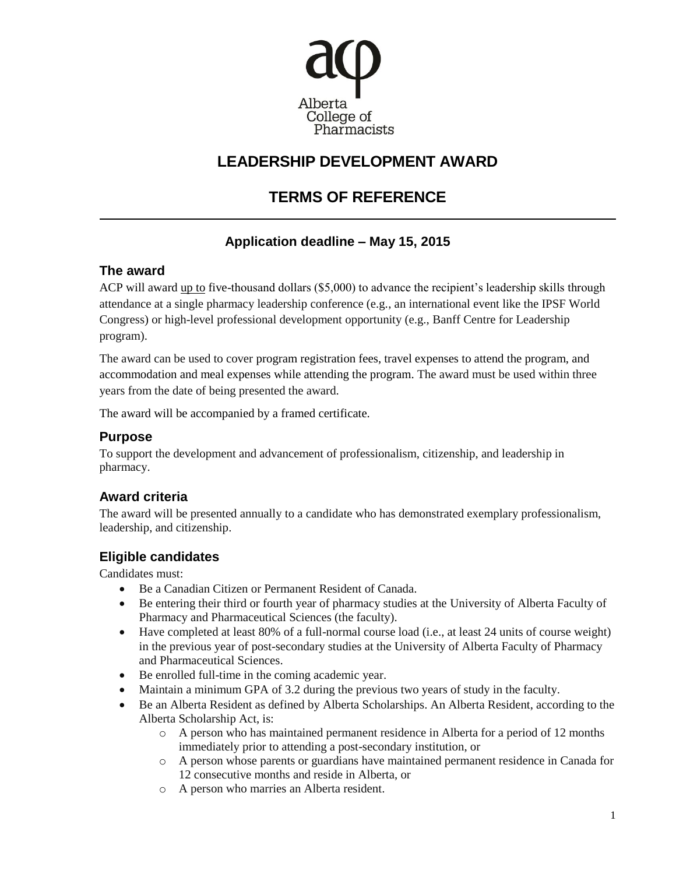

# **LEADERSHIP DEVELOPMENT AWARD**

# **TERMS OF REFERENCE**

## **Application deadline – May 15, 2015**

## **The award**

ACP will award up to five-thousand dollars (\$5,000) to advance the recipient's leadership skills through attendance at a single pharmacy leadership conference (e.g., an international event like the IPSF World Congress) or high-level professional development opportunity (e.g., Banff Centre for Leadership program).

The award can be used to cover program registration fees, travel expenses to attend the program, and accommodation and meal expenses while attending the program. The award must be used within three years from the date of being presented the award.

The award will be accompanied by a framed certificate.

## **Purpose**

To support the development and advancement of professionalism, citizenship, and leadership in pharmacy.

## **Award criteria**

The award will be presented annually to a candidate who has demonstrated exemplary professionalism, leadership, and citizenship.

## **Eligible candidates**

Candidates must:

- Be a Canadian Citizen or Permanent Resident of Canada.
- Be entering their third or fourth year of pharmacy studies at the University of Alberta Faculty of Pharmacy and Pharmaceutical Sciences (the faculty).
- Have completed at least 80% of a full-normal course load (i.e., at least 24 units of course weight) in the previous year of post-secondary studies at the University of Alberta Faculty of Pharmacy and Pharmaceutical Sciences.
- Be enrolled full-time in the coming academic year.
- Maintain a minimum GPA of 3.2 during the previous two years of study in the faculty.
- Be an Alberta Resident as defined by Alberta Scholarships. An Alberta Resident, according to the Alberta Scholarship Act, is:
	- o A person who has maintained permanent residence in Alberta for a period of 12 months immediately prior to attending a post-secondary institution, or
	- o A person whose parents or guardians have maintained permanent residence in Canada for 12 consecutive months and reside in Alberta, or
	- o A person who marries an Alberta resident.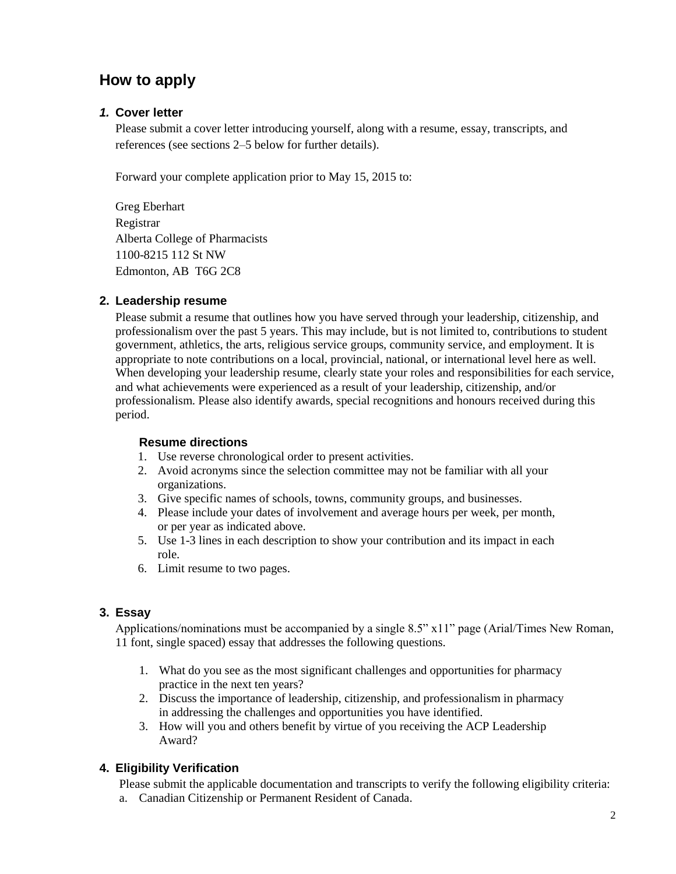## **How to apply**

#### *1.* **Cover letter**

Please submit a cover letter introducing yourself, along with a resume, essay, transcripts, and references (see sections 2–5 below for further details).

Forward your complete application prior to May 15, 2015 to:

Greg Eberhart Registrar Alberta College of Pharmacists 1100-8215 112 St NW Edmonton, AB T6G 2C8

#### **2. Leadership resume**

Please submit a resume that outlines how you have served through your leadership, citizenship, and professionalism over the past 5 years. This may include, but is not limited to, contributions to student government, athletics, the arts, religious service groups, community service, and employment. It is appropriate to note contributions on a local, provincial, national, or international level here as well. When developing your leadership resume, clearly state your roles and responsibilities for each service, and what achievements were experienced as a result of your leadership, citizenship, and/or professionalism. Please also identify awards, special recognitions and honours received during this period.

#### **Resume directions**

- 1. Use reverse chronological order to present activities.
- 2. Avoid acronyms since the selection committee may not be familiar with all your organizations.
- 3. Give specific names of schools, towns, community groups, and businesses.
- 4. Please include your dates of involvement and average hours per week, per month, or per year as indicated above.
- 5. Use 1-3 lines in each description to show your contribution and its impact in each role.
- 6. Limit resume to two pages.

### **3. Essay**

Applications/nominations must be accompanied by a single 8.5" x11" page (Arial/Times New Roman, 11 font, single spaced) essay that addresses the following questions.

- 1. What do you see as the most significant challenges and opportunities for pharmacy practice in the next ten years?
- 2. Discuss the importance of leadership, citizenship, and professionalism in pharmacy in addressing the challenges and opportunities you have identified.
- 3. How will you and others benefit by virtue of you receiving the ACP Leadership Award?

### **4. Eligibility Verification**

Please submit the applicable documentation and transcripts to verify the following eligibility criteria:

a. Canadian Citizenship or Permanent Resident of Canada.